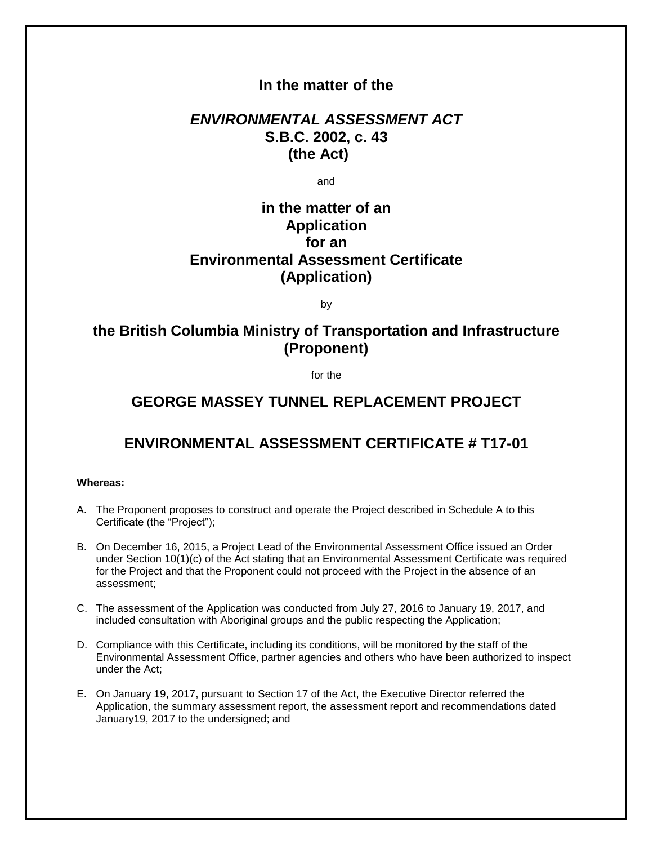### **In the matter of the**

## *ENVIRONMENTAL ASSESSMENT ACT* **S.B.C. 2002, c. 43 (the Act)**

and

## **in the matter of an Application for an Environmental Assessment Certificate (Application)**

by

## **the British Columbia Ministry of Transportation and Infrastructure (Proponent)**

for the

## **GEORGE MASSEY TUNNEL REPLACEMENT PROJECT**

# **ENVIRONMENTAL ASSESSMENT CERTIFICATE # T17-01**

### **Whereas:**

- A. The Proponent proposes to construct and operate the Project described in Schedule A to this Certificate (the "Project");
- B. On December 16, 2015, a Project Lead of the Environmental Assessment Office issued an Order under Section 10(1)(c) of the Act stating that an Environmental Assessment Certificate was required for the Project and that the Proponent could not proceed with the Project in the absence of an assessment;
- C. The assessment of the Application was conducted from July 27, 2016 to January 19, 2017, and included consultation with Aboriginal groups and the public respecting the Application;
- D. Compliance with this Certificate, including its conditions, will be monitored by the staff of the Environmental Assessment Office, partner agencies and others who have been authorized to inspect under the Act;
- E. On January 19, 2017, pursuant to Section 17 of the Act, the Executive Director referred the Application, the summary assessment report, the assessment report and recommendations dated January19, 2017 to the undersigned; and